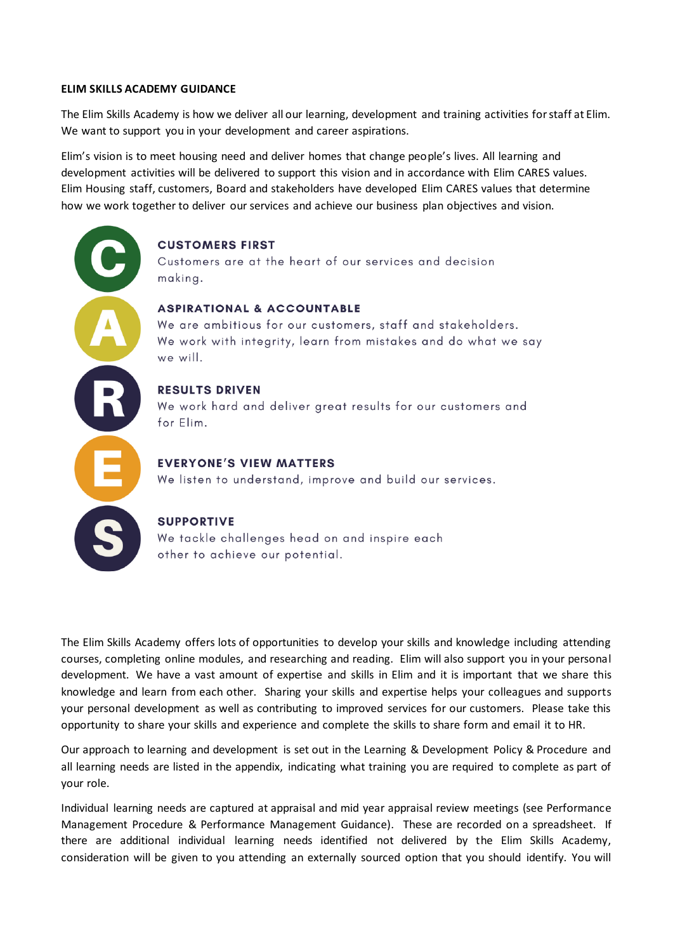#### **ELIM SKILLS ACADEMY GUIDANCE**

The Elim Skills Academy is how we deliver all our learning, development and training activities for staff at Elim. We want to support you in your development and career aspirations.

Elim's vision is to meet housing need and deliver homes that change people's lives. All learning and development activities will be delivered to support this vision and in accordance with Elim CARES values. Elim Housing staff, customers, Board and stakeholders have developed Elim CARES values that determine how we work together to deliver our services and achieve our business plan objectives and vision.

# **CUSTOMERS FIRST**

Customers are at the heart of our services and decision making.

## **ASPIRATIONAL & ACCOUNTABLE**

We are ambitious for our customers, staff and stakeholders. We work with integrity, learn from mistakes and do what we say we will.

# **RESULTS DRIVEN**

We work hard and deliver great results for our customers and for Elim.

## **EVERYONE'S VIEW MATTERS**

We listen to understand, improve and build our services.

#### **SUPPORTIVE**

We tackle challenges head on and inspire each other to achieve our potential.

The Elim Skills Academy offers lots of opportunities to develop your skills and knowledge including attending courses, completing online modules, and researching and reading. Elim will also support you in your personal development. We have a vast amount of expertise and skills in Elim and it is important that we share this knowledge and learn from each other. Sharing your skills and expertise helps your colleagues and supports your personal development as well as contributing to improved services for our customers. Please take this opportunity to share your skills and experience and complete the skills to share form and email it to HR.

Our approach to learning and development is set out in the Learning & Development Policy & Procedure and all learning needs are listed in the appendix, indicating what training you are required to complete as part of your role.

Individual learning needs are captured at appraisal and mid year appraisal review meetings (see Performance Management Procedure & Performance Management Guidance). These are recorded on a spreadsheet. If there are additional individual learning needs identified not delivered by the Elim Skills Academy, consideration will be given to you attending an externally sourced option that you should identify. You will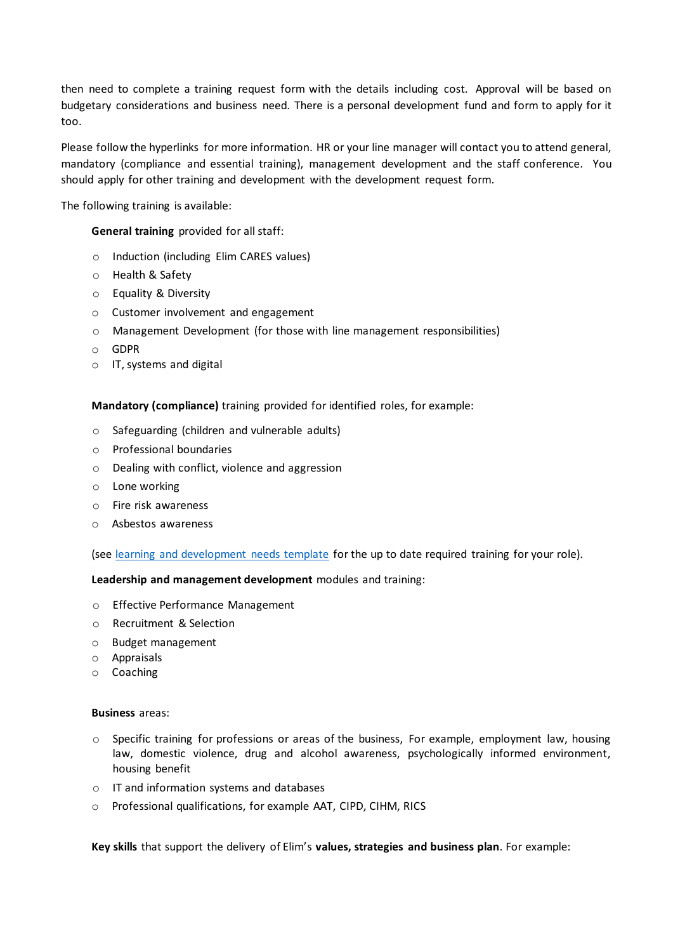then need to complete a training request form with the details including cost. Approval will be based on budgetary considerations and business need. There is a personal development fund and form to apply for it too.

Please follow the hyperlinks for more information. HR or your line manager will contact you to attend general, mandatory (compliance and essential training), management development and the staff conference. You should apply for other training and development with the development request form.

The following training is available:

# **General training** provided for all staff:

- o Induction (including Elim CARES values)
- o Health & Safety
- o Equality & Diversity
- o Customer involvement and engagement
- o Management Development (for those with line management responsibilities)
- o GDPR
- o IT, systems and digital

**Mandatory (compliance)** training provided for identified roles, for example:

- o Safeguarding (children and vulnerable adults)
- o Professional boundaries
- o Dealing with conflict, violence and aggression
- o Lone working
- o Fire risk awareness
- o Asbestos awareness

(see [learning and development needs template](file://///EHA-DC1/Public/HR/Learning%20&%20Development/Learning%20and%20development%20need%20template%20August%202020.docx) for the up to date required training for your role).

**Leadership and management development** modules and training:

- o Effective Performance Management
- o Recruitment & Selection
- o Budget management
- o Appraisals
- o Coaching

#### **Business** areas:

- $\circ$  Specific training for professions or areas of the business, For example, employment law, housing law, domestic violence, drug and alcohol awareness, psychologically informed environment, housing benefit
- o IT and information systems and databases
- o Professional qualifications, for example AAT, CIPD, CIHM, RICS

**Key skills** that support the delivery of Elim's **values, strategies and business plan**. For example: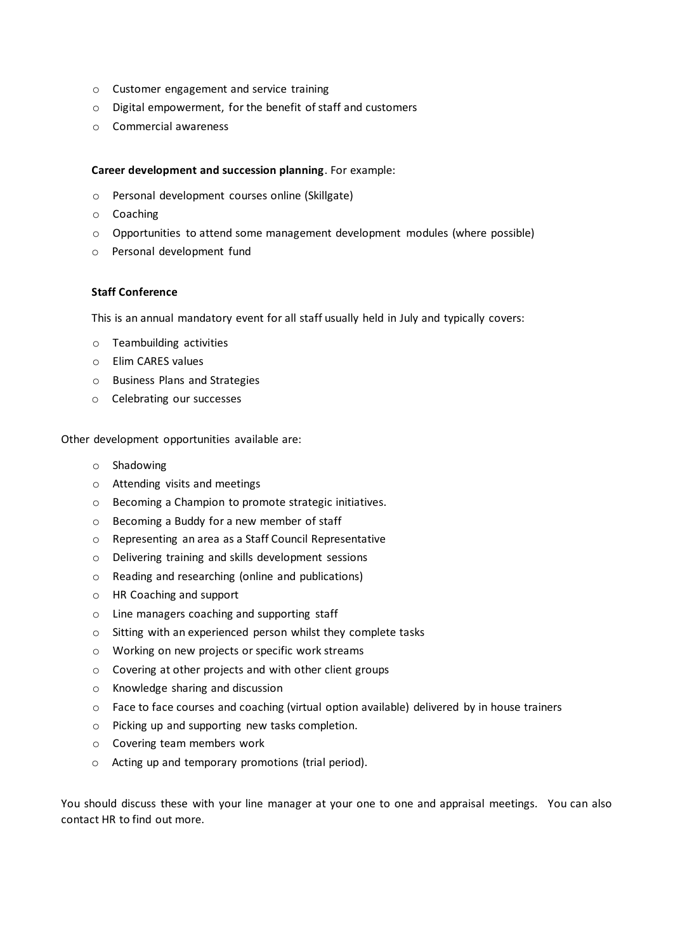- o Customer engagement and service training
- o Digital empowerment, for the benefit of staff and customers
- o Commercial awareness

### **Career development and succession planning**. For example:

- o Personal development courses online (Skillgate)
- o Coaching
- o Opportunities to attend some management development modules (where possible)
- o Personal development fund

## **Staff Conference**

This is an annual mandatory event for all staff usually held in July and typically covers:

- o Teambuilding activities
- o Elim CARES values
- o Business Plans and Strategies
- o Celebrating our successes

Other development opportunities available are:

- o Shadowing
- o Attending visits and meetings
- o Becoming a Champion to promote strategic initiatives.
- o Becoming a Buddy for a new member of staff
- o Representing an area as a Staff Council Representative
- o Delivering training and skills development sessions
- o Reading and researching (online and publications)
- o HR Coaching and support
- o Line managers coaching and supporting staff
- o Sitting with an experienced person whilst they complete tasks
- o Working on new projects or specific work streams
- o Covering at other projects and with other client groups
- o Knowledge sharing and discussion
- o Face to face courses and coaching (virtual option available) delivered by in house trainers
- o Picking up and supporting new tasks completion.
- o Covering team members work
- o Acting up and temporary promotions (trial period).

You should discuss these with your line manager at your one to one and appraisal meetings. You can also contact HR to find out more.